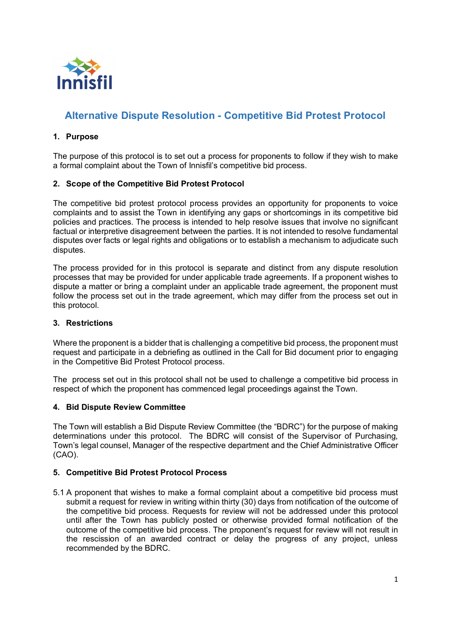

# **Alternative Dispute Resolution - Competitive Bid Protest Protocol**

## **1. Purpose**

The purpose of this protocol is to set out a process for proponents to follow if they wish to make a formal complaint about the Town of Innisfil's competitive bid process.

### **2. Scope of the Competitive Bid Protest Protocol**

The competitive bid protest protocol process provides an opportunity for proponents to voice complaints and to assist the Town in identifying any gaps or shortcomings in its competitive bid policies and practices. The process is intended to help resolve issues that involve no significant factual or interpretive disagreement between the parties. It is not intended to resolve fundamental disputes over facts or legal rights and obligations or to establish a mechanism to adjudicate such disputes.

The process provided for in this protocol is separate and distinct from any dispute resolution processes that may be provided for under applicable trade agreements. If a proponent wishes to dispute a matter or bring a complaint under an applicable trade agreement, the proponent must follow the process set out in the trade agreement, which may differ from the process set out in this protocol.

#### **3. Restrictions**

Where the proponent is a bidder that is challenging a competitive bid process, the proponent must request and participate in a debriefing as outlined in the Call for Bid document prior to engaging in the Competitive Bid Protest Protocol process.

The process set out in this protocol shall not be used to challenge a competitive bid process in respect of which the proponent has commenced legal proceedings against the Town.

#### **4. Bid Dispute Review Committee**

The Town will establish a Bid Dispute Review Committee (the "BDRC") for the purpose of making determinations under this protocol. The BDRC will consist of the Supervisor of Purchasing, Town's legal counsel, Manager of the respective department and the Chief Administrative Officer (CAO).

#### **5. Competitive Bid Protest Protocol Process**

5.1 A proponent that wishes to make a formal complaint about a competitive bid process must submit a request for review in writing within thirty (30) days from notification of the outcome of the competitive bid process. Requests for review will not be addressed under this protocol until after the Town has publicly posted or otherwise provided formal notification of the outcome of the competitive bid process. The proponent's request for review will not result in the rescission of an awarded contract or delay the progress of any project, unless recommended by the BDRC.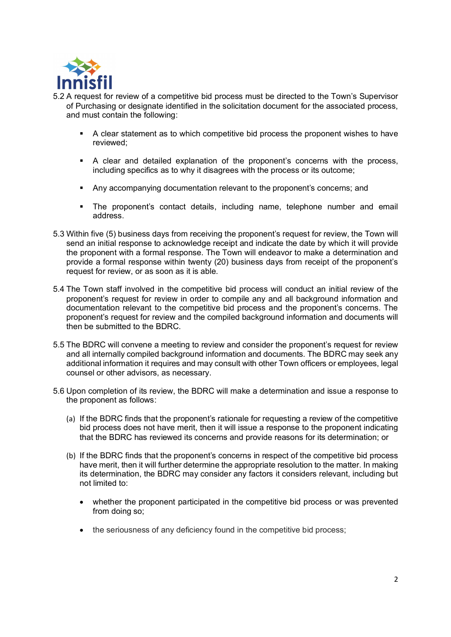

- 5.2 A request for review of a competitive bid process must be directed to the Town's Supervisor of Purchasing or designate identified in the solicitation document for the associated process, and must contain the following:
	- **EXECT** A clear statement as to which competitive bid process the proponent wishes to have reviewed;
	- **A** clear and detailed explanation of the proponent's concerns with the process, including specifics as to why it disagrees with the process or its outcome;
	- **Any accompanying documentation relevant to the proponent's concerns; and**
	- **The proponent's contact details, including name, telephone number and email** address.
- 5.3 Within five (5) business days from receiving the proponent's request for review, the Town will send an initial response to acknowledge receipt and indicate the date by which it will provide the proponent with a formal response. The Town will endeavor to make a determination and provide a formal response within twenty (20) business days from receipt of the proponent's request for review, or as soon as it is able.
- 5.4 The Town staff involved in the competitive bid process will conduct an initial review of the proponent's request for review in order to compile any and all background information and documentation relevant to the competitive bid process and the proponent's concerns. The proponent's request for review and the compiled background information and documents will then be submitted to the BDRC.
- 5.5 The BDRC will convene a meeting to review and consider the proponent's request for review and all internally compiled background information and documents. The BDRC may seek any additional information it requires and may consult with other Town officers or employees, legal counsel or other advisors, as necessary.
- 5.6 Upon completion of its review, the BDRC will make a determination and issue a response to the proponent as follows:
	- (a) If the BDRC finds that the proponent's rationale for requesting a review of the competitive bid process does not have merit, then it will issue a response to the proponent indicating that the BDRC has reviewed its concerns and provide reasons for its determination; or
	- (b) If the BDRC finds that the proponent's concerns in respect of the competitive bid process have merit, then it will further determine the appropriate resolution to the matter. In making its determination, the BDRC may consider any factors it considers relevant, including but not limited to:
		- ∂ whether the proponent participated in the competitive bid process or was prevented from doing so;
		- the seriousness of any deficiency found in the competitive bid process;